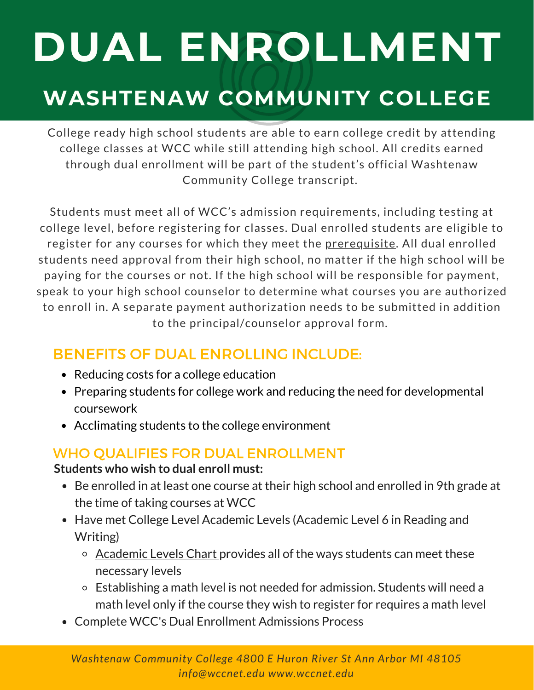# **DUAL ENROLLMENT**

# **WASHTENAW COMMUNITY COLLEGE**

College ready high school students are able to earn college credit by attending college classes at WCC while still attending high school. All credits earned through dual enrollment will be part of the student's official Washtenaw Community College transcript.

Students must meet all of WCC's admission requirements, including testing at college level, before registering for classes. Dual enrolled students are eligible to register for any courses for which they meet the [prerequisite](https://www.wccnet.edu/learn/class-types/prerequisites.php). All dual enrolled students need approval from their high school, no matter if the high school will be paying for the courses or not. If the high school will be responsible for payment, speak to your high school counselor to determine what courses you are authorized to enroll in. A separate payment authorization needs to be submitted in addition to the principal/counselor approval form.

### BENEFITS OF DUAL ENROLLING INCLUDE:

- Reducing costs for a college education
- Preparing students for college work and reducing the need for developmental coursework
- Acclimating students to the college environment

### WHO QUALIFIES FOR DUAL ENROLLMENT

#### **Students who wish to dual enroll must:**

- Be enrolled in at least one course at their high school and enrolled in 9th grade at the time of taking courses at WCC
- Have met College Level Academic Levels (Academic Level 6 in Reading and Writing)
	- o [Academic Levels Chart](https://www.wccnet.edu/start-now/entry-assessment/academic-levels.php) provides all of the ways students can meet these necessary levels
	- Establishing a math level is not needed for admission. Students will need a math level only if the course they wish to register for requires a math level
- Complete WCC's Dual Enrollment Admissions Process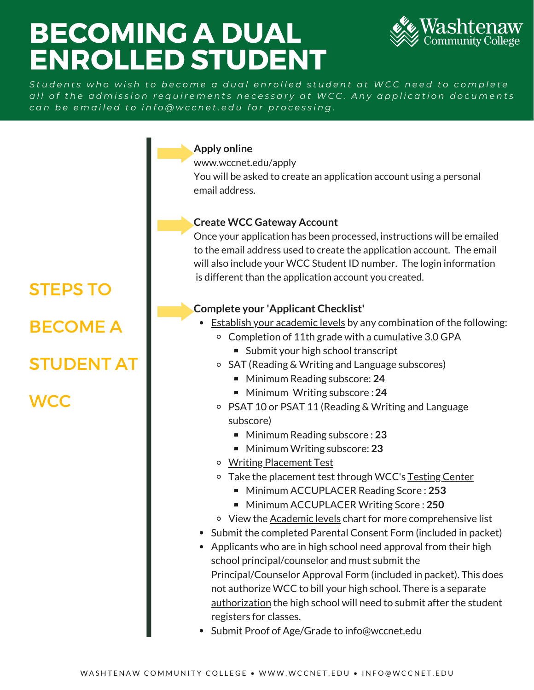# BECOMING A DUAL ENROLLED STUDENT



Students who wish to become a dual enrolled student at WCC need to complete all of the admission requirements necessary at WCC. Any application documents can be emailed to info@wccnet.edu for processing.

#### **Apply online**

<www.wccnet.edu/apply>

You will be asked to create an application account using a personal email address.

#### **Create WCC Gateway Account**

Once your application has been processed, instructions will be emailed to the email address used to create the application account. The email will also include your WCC Student ID number. The login information is different than the application account you created.

#### **Complete your 'Applicant Checklist'**

- **[Establish your academic levels](https://www.wccnet.edu/start-now/entry-assessment/) by any combination of the following:** 
	- Completion of 11th grade with a cumulative 3.0 GPA
		- Submit your high school transcript
	- SAT (Reading & Writing and Language subscores)
		- Minimum Reading subscore: 24
		- Minimum Writing subscore : 24
	- PSAT 10 or PSAT 11 (Reading & Writing and Language subscore)
		- Minimum Reading subscore : 23
		- Minimum Writing subscore: 23
	- [Writing Placement Test](https://www.wccnet.edu/learn/testing-center/writing-placement-test.php)
	- o Take the placement test through WCC's [Testing Center](https://www.wccnet.edu/learn/testing-center/)
		- Minimum ACCUPLACER Reading Score : **253**
		- Minimum ACCUPLACER Writing Score : 250
	- o View the [Academic levels](https://www.wccnet.edu/start-now/entry-assessment/academic-levels.php) chart for more comprehensive list
- Submit the completed Parental Consent Form (included in packet)
- Applicants who are in high school need approval from their high school principal/counselor and must submit the Principal/Counselor Approval Form (included in packet). This does not authorize WCC to bill your high school. There is a separate [authorization](https://www.wccnet.edu/afford/pay-tuition/high-school.php) the high school will need to submit after the student registers for classes.
- Submit Proof of Age/Grade to [info@wccnet.edu](mailto:info@wccnet.edu)

STEPS TO BECOME A STUDENT AT **WCC**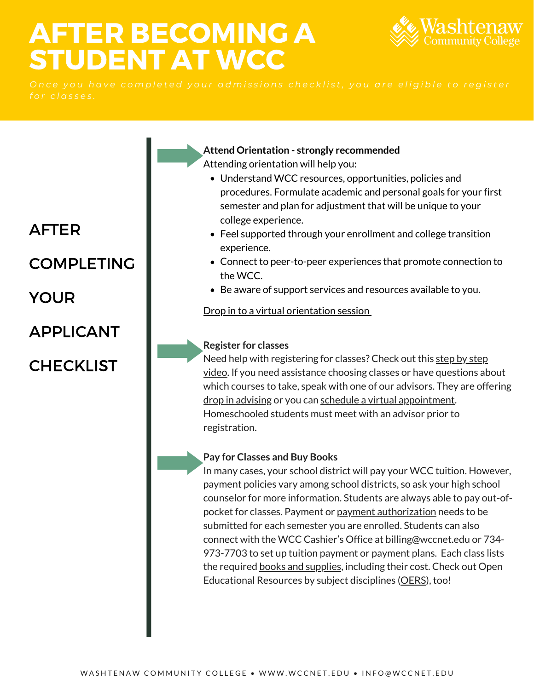# **STUDENT AT WCC** AFTER BECOMING A



AFTER

### **COMPLETING**

YOUR

APPLICANT

### **CHECKLIST**

**Attend Orientation - strongly recommended**

Attending orientation will help you:

- Understand WCC resources, opportunities, policies and procedures. Formulate academic and personal goals for your first semester and plan for adjustment that will be unique to your college experience.
- Feel supported through your enrollment and college transition experience.
- Connect to peer-to-peer experiences that promote connection to the WCC.
- Be aware of support services and resources available to you.

[Drop in to a virtual orientation session](https://www.wccnet.edu/start-now/orientation/)

#### **Register for classes**

[Need help with registering for classes? Check out this step by step](https://www.youtube.com/channel/UCHzaK-QHN6GSddFP7hb1Jhg/) video. If you need assistance choosing classes or have questions about which courses to take, speak with one of our advisors. They are offering [drop in advising](https://www.wccnet.edu/succeed/advising/) or you can [schedule a virtual appointment.](https://www.wccnet.edu/succeed/advising/) Homeschooled students must meet with an advisor prior to registration.

#### **Pay for Classes and Buy Books**

In many cases, your school district will pay your WCC tuition. However, payment policies vary among school districts, so ask your high school counselor for more information. Students are always able to pay out-ofpocket for classes. Payment or [payment authorization](https://www.wccnet.edu/afford/pay-tuition/high-school.php) needs to be submitted for each semester you are enrolled. Students can also connect with the WCC Cashier's Office at [billing@wccnet.edu](mailto:billing@wccnet.edu) or 734- 973-7703 to set up tuition payment or payment plans. Each class lists the required [books and supplies](https://www.wccnet.edu/engage/know-campus/bookstore.php), including their cost. Check out Open Educational Resources by subject disciplines ([OERS\)](https://libguides.wccnet.edu/oer-subjects), too!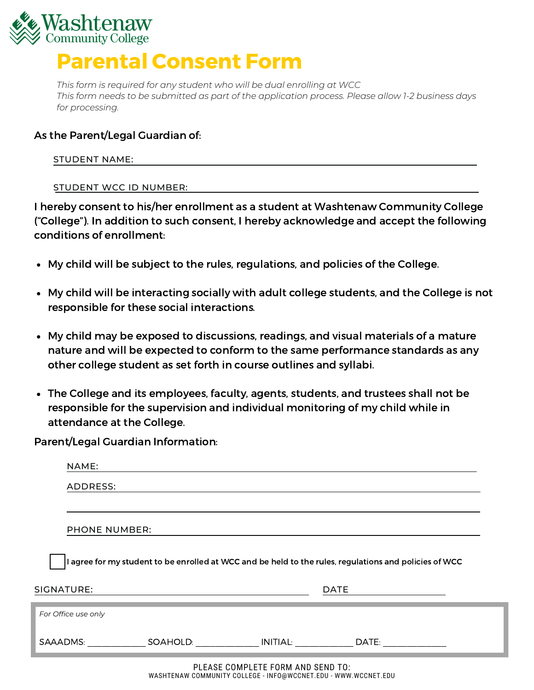

# Parental Consent Form

 *This form is required for any student who will be dual enrolling at WCC* This form needs to be submitted as part of the application process. Please allow 1-2 business days *for processing.*

#### As the Parent/Legal Guardian of:

#### STUDENT NAME:

#### <u>STUDENT WCC ID NUMBER:</u>

 I hereby consent to his/her enrollment as a student at Washtenaw Community College ("College"). In addition to such consent, I hereby acknowledge and accept the following conditions of enrollment:

- My child will be subject to the rules, regulations, and policies of the College.
- My child will be interacting socially with adult college students, and the College is not responsible for these social interactions.
- My child may be exposed to discussions, readings, and visual materials of a mature nature and will be expected to conform to the same performance standards as any other college student as set forth in course outlines and syllabi.
- The College and its employees, faculty, agents, students, and trustees shall not be responsible for the supervision and individual monitoring of my child while in attendance at the College.

Parent/Legal Guardian Information:

|                                                                                                      | NAME:               |                     |  |             |  |  |  |
|------------------------------------------------------------------------------------------------------|---------------------|---------------------|--|-------------|--|--|--|
|                                                                                                      | ADDRESS:            |                     |  |             |  |  |  |
|                                                                                                      |                     |                     |  |             |  |  |  |
| <b>PHONE NUMBER:</b>                                                                                 |                     |                     |  |             |  |  |  |
| agree for my student to be enrolled at WCC and be held to the rules, regulations and policies of WCC |                     |                     |  |             |  |  |  |
| SIGNATURE:                                                                                           |                     |                     |  | <b>DATE</b> |  |  |  |
|                                                                                                      | For Office use only |                     |  |             |  |  |  |
| SAAADMS:                                                                                             |                     | SOAHOLD: __________ |  | DATE:       |  |  |  |
| $D \cup F \wedge C F$ contributions $F \wedge C$<br>1.110.05110.70                                   |                     |                     |  |             |  |  |  |

 PLEASE COMPLETE FORM AND SEND TO: WASHTENAW COMMUNITY COLLEGE - [INFO@WCCNET.EDU](mailto:INFO@WCCNET.EDU) - <WWW.WCCNET.EDU>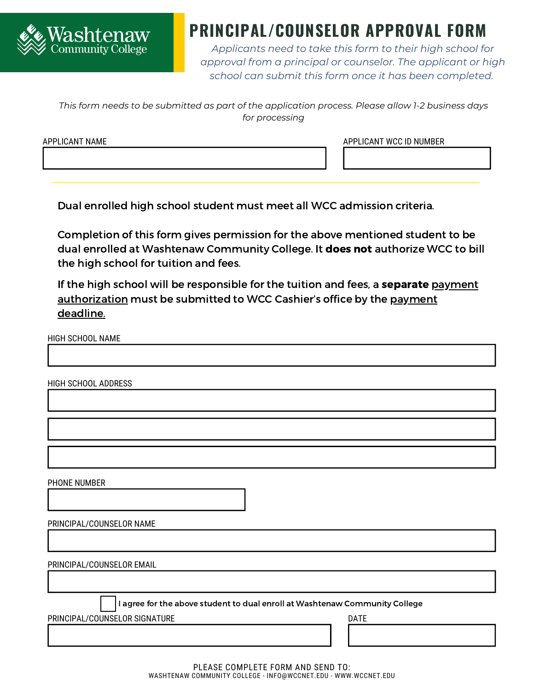

## **PRINCIPAL/COUNSELOR APPROVAL FORM**

*Applicants need to take this form to their high school for approval from a principal or counselor. The applicant or high school can submit this form once it has been completed.*

*This form needs to be submitted as part of the application process. Please allow 1-2 business days for processing*

APPLICANT NAME APPLICANT NAME AND APPLICANT WCC ID NUMBER

Dual enrolled high school student must meet all WCC admission criteria.

 Completion of this form gives permission for the above mentioned student to be dual enrolled at Washtenaw Community College. It **does not** authorize WCC to bill the high school for tuition and fees.

If the high school will be responsible for the tuition and fees, a **separate** <u>payment</u> [authorization](https://www.wccnet.edu/afford/pay-tuition/high-school.php) must be submitted to WCC Cashier's office by the <u>payment</u> deadline.

HIGH SCHOOL NAME

HIGH SCHOOL ADDRESS

PHONE NUMBER

| PRINCIPAL/COUNSELOR NAME |  |  |
|--------------------------|--|--|
|--------------------------|--|--|

PRINCIPAL/COUNSELOR EMAIL

I agree for the above student to dual enroll at Washtenaw Community College

PRINCIPAL/COUNSELOR SIGNATURE **Example 20 and 20 and 20 and 20 and 20 and 20 and 20 and 20 and 20 and 20 and 20 and 20 and 20 and 20 and 20 and 20 and 20 and 20 and 20 and 20 and 20 and 20 and 20 and 20 and 20 and 20 and 2**